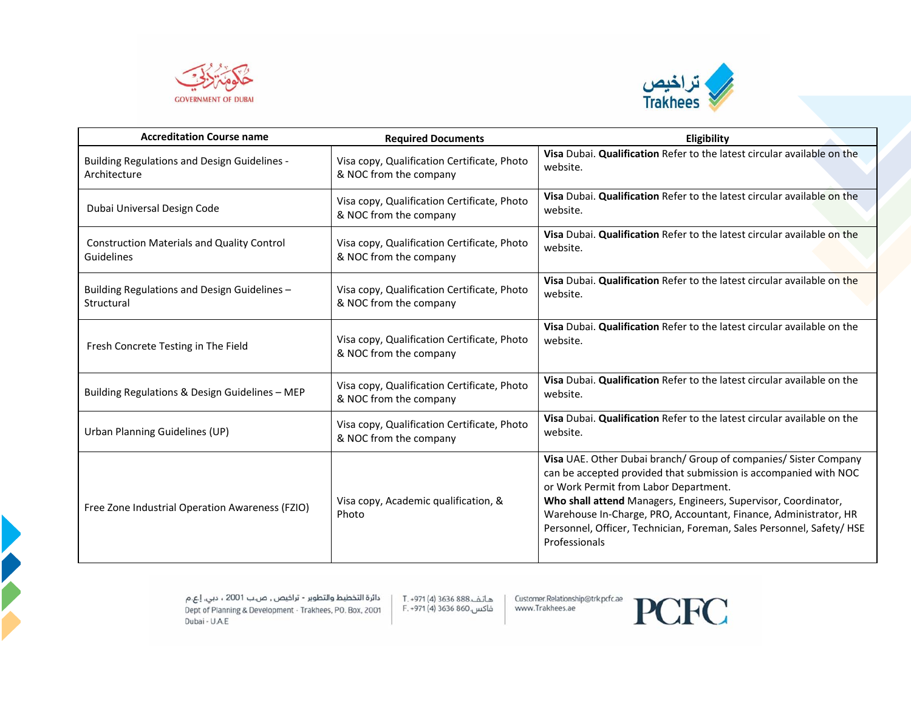



| <b>Accreditation Course name</b>                                    | <b>Required Documents</b>                                             | Eligibility                                                                                                                                                                                                                                                                                                                                                                                                   |
|---------------------------------------------------------------------|-----------------------------------------------------------------------|---------------------------------------------------------------------------------------------------------------------------------------------------------------------------------------------------------------------------------------------------------------------------------------------------------------------------------------------------------------------------------------------------------------|
| <b>Building Regulations and Design Guidelines -</b><br>Architecture | Visa copy, Qualification Certificate, Photo<br>& NOC from the company | Visa Dubai. Qualification Refer to the latest circular available on the<br>website.                                                                                                                                                                                                                                                                                                                           |
| Dubai Universal Design Code                                         | Visa copy, Qualification Certificate, Photo<br>& NOC from the company | Visa Dubai. Qualification Refer to the latest circular available on the<br>website.                                                                                                                                                                                                                                                                                                                           |
| <b>Construction Materials and Quality Control</b><br>Guidelines     | Visa copy, Qualification Certificate, Photo<br>& NOC from the company | Visa Dubai. Qualification Refer to the latest circular available on the<br>website.                                                                                                                                                                                                                                                                                                                           |
| Building Regulations and Design Guidelines -<br>Structural          | Visa copy, Qualification Certificate, Photo<br>& NOC from the company | Visa Dubai. Qualification Refer to the latest circular available on the<br>website.                                                                                                                                                                                                                                                                                                                           |
| Fresh Concrete Testing in The Field                                 | Visa copy, Qualification Certificate, Photo<br>& NOC from the company | Visa Dubai. Qualification Refer to the latest circular available on the<br>website.                                                                                                                                                                                                                                                                                                                           |
| Building Regulations & Design Guidelines - MEP                      | Visa copy, Qualification Certificate, Photo<br>& NOC from the company | Visa Dubai. Qualification Refer to the latest circular available on the<br>website.                                                                                                                                                                                                                                                                                                                           |
| Urban Planning Guidelines (UP)                                      | Visa copy, Qualification Certificate, Photo<br>& NOC from the company | Visa Dubai. Qualification Refer to the latest circular available on the<br>website.                                                                                                                                                                                                                                                                                                                           |
| Free Zone Industrial Operation Awareness (FZIO)                     | Visa copy, Academic qualification, &<br>Photo                         | Visa UAE. Other Dubai branch/ Group of companies/ Sister Company<br>can be accepted provided that submission is accompanied with NOC<br>or Work Permit from Labor Department.<br>Who shall attend Managers, Engineers, Supervisor, Coordinator,<br>Warehouse In-Charge, PRO, Accountant, Finance, Administrator, HR<br>Personnel, Officer, Technician, Foreman, Sales Personnel, Safety/ HSE<br>Professionals |

هاتف.888 3636 (4) T. +971 فاكس.860 3636 (4) F. +971

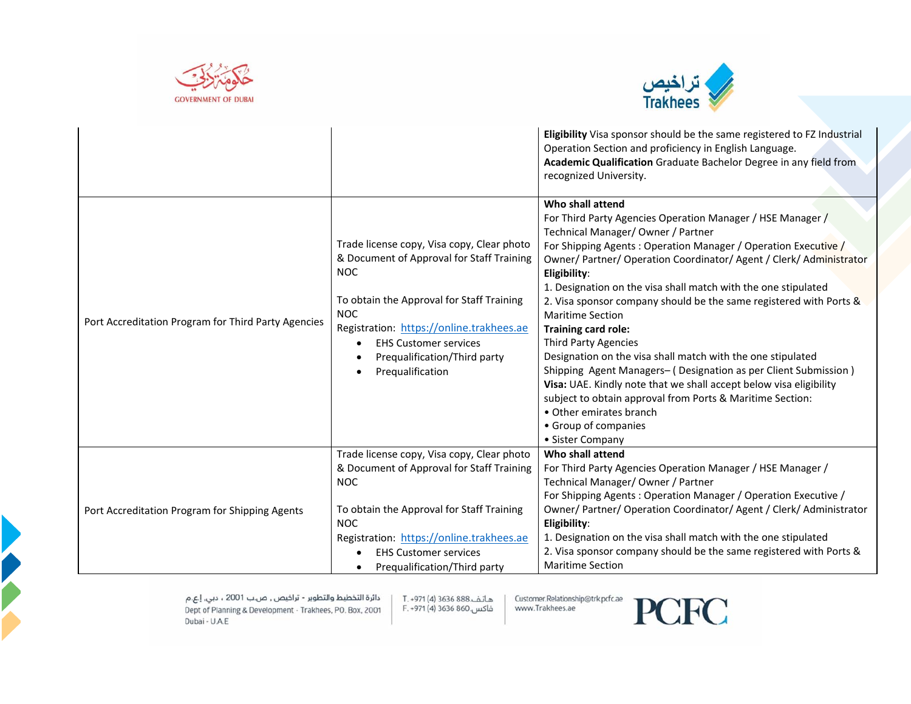



|                                                     |                                                                                                                                                                                                                                                                                                  | <b>Eligibility</b> Visa sponsor should be the same registered to FZ Industrial<br>Operation Section and proficiency in English Language.<br>Academic Qualification Graduate Bachelor Degree in any field from<br>recognized University.                                                                                                                                                                                                                                                                                                                                                                                                                                                                                                                                                                                                            |
|-----------------------------------------------------|--------------------------------------------------------------------------------------------------------------------------------------------------------------------------------------------------------------------------------------------------------------------------------------------------|----------------------------------------------------------------------------------------------------------------------------------------------------------------------------------------------------------------------------------------------------------------------------------------------------------------------------------------------------------------------------------------------------------------------------------------------------------------------------------------------------------------------------------------------------------------------------------------------------------------------------------------------------------------------------------------------------------------------------------------------------------------------------------------------------------------------------------------------------|
| Port Accreditation Program for Third Party Agencies | Trade license copy, Visa copy, Clear photo<br>& Document of Approval for Staff Training<br><b>NOC</b><br>To obtain the Approval for Staff Training<br><b>NOC</b><br>Registration: https://online.trakhees.ae<br><b>EHS Customer services</b><br>Prequalification/Third party<br>Prequalification | Who shall attend<br>For Third Party Agencies Operation Manager / HSE Manager /<br>Technical Manager/ Owner / Partner<br>For Shipping Agents: Operation Manager / Operation Executive /<br>Owner/ Partner/ Operation Coordinator/ Agent / Clerk/ Administrator<br>Eligibility:<br>1. Designation on the visa shall match with the one stipulated<br>2. Visa sponsor company should be the same registered with Ports &<br><b>Maritime Section</b><br>Training card role:<br><b>Third Party Agencies</b><br>Designation on the visa shall match with the one stipulated<br>Shipping Agent Managers- (Designation as per Client Submission)<br>Visa: UAE. Kindly note that we shall accept below visa eligibility<br>subject to obtain approval from Ports & Maritime Section:<br>• Other emirates branch<br>• Group of companies<br>• Sister Company |
| Port Accreditation Program for Shipping Agents      | Trade license copy, Visa copy, Clear photo<br>& Document of Approval for Staff Training<br><b>NOC</b><br>To obtain the Approval for Staff Training<br><b>NOC</b><br>Registration: https://online.trakhees.ae<br><b>EHS Customer services</b><br>Prequalification/Third party                     | Who shall attend<br>For Third Party Agencies Operation Manager / HSE Manager /<br>Technical Manager/Owner / Partner<br>For Shipping Agents: Operation Manager / Operation Executive /<br>Owner/ Partner/ Operation Coordinator/ Agent / Clerk/ Administrator<br>Eligibility:<br>1. Designation on the visa shall match with the one stipulated<br>2. Visa sponsor company should be the same registered with Ports &<br><b>Maritime Section</b>                                                                                                                                                                                                                                                                                                                                                                                                    |

هاتف.888 3636 (4) T. +971 فاكس.860 3636 (4) F. +971

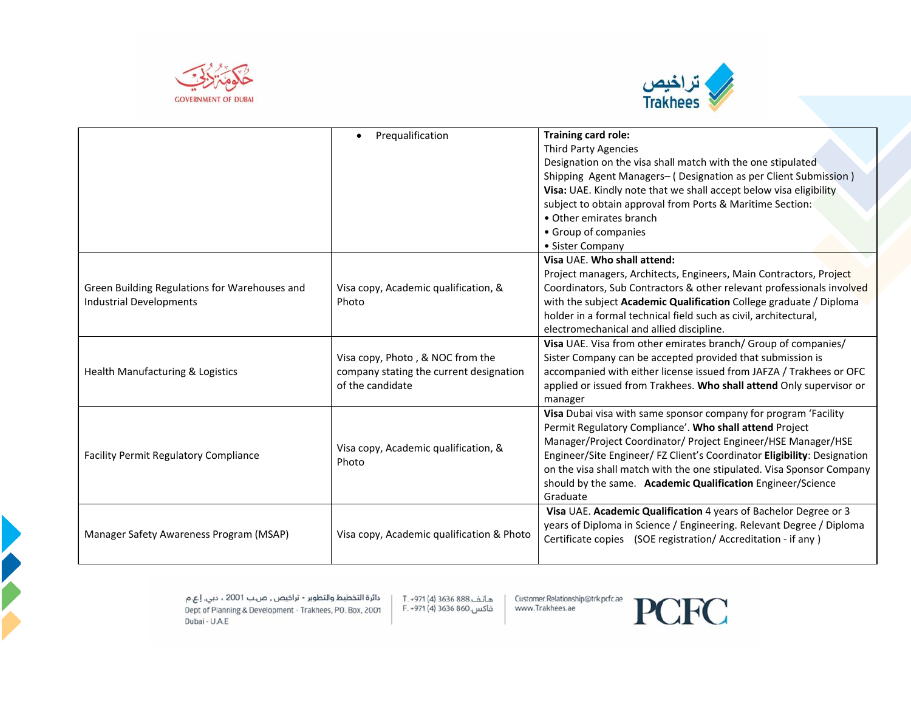



|                                               | Prequalification                              | Training card role:                                                      |
|-----------------------------------------------|-----------------------------------------------|--------------------------------------------------------------------------|
|                                               |                                               | <b>Third Party Agencies</b>                                              |
|                                               |                                               | Designation on the visa shall match with the one stipulated              |
|                                               |                                               | Shipping Agent Managers- (Designation as per Client Submission)          |
|                                               |                                               | Visa: UAE. Kindly note that we shall accept below visa eligibility       |
|                                               |                                               | subject to obtain approval from Ports & Maritime Section:                |
|                                               |                                               | • Other emirates branch                                                  |
|                                               |                                               | • Group of companies                                                     |
|                                               |                                               | • Sister Company                                                         |
|                                               |                                               | Visa UAE. Who shall attend:                                              |
|                                               |                                               | Project managers, Architects, Engineers, Main Contractors, Project       |
| Green Building Regulations for Warehouses and | Visa copy, Academic qualification, &          | Coordinators, Sub Contractors & other relevant professionals involved    |
| <b>Industrial Developments</b>                | Photo                                         | with the subject Academic Qualification College graduate / Diploma       |
|                                               |                                               | holder in a formal technical field such as civil, architectural,         |
|                                               |                                               | electromechanical and allied discipline.                                 |
|                                               |                                               | Visa UAE. Visa from other emirates branch/ Group of companies/           |
|                                               | Visa copy, Photo, & NOC from the              | Sister Company can be accepted provided that submission is               |
| Health Manufacturing & Logistics              | company stating the current designation       | accompanied with either license issued from JAFZA / Trakhees or OFC      |
|                                               | of the candidate                              | applied or issued from Trakhees. Who shall attend Only supervisor or     |
|                                               |                                               | manager                                                                  |
|                                               |                                               | Visa Dubai visa with same sponsor company for program 'Facility          |
|                                               |                                               | Permit Regulatory Compliance'. Who shall attend Project                  |
| <b>Facility Permit Regulatory Compliance</b>  | Visa copy, Academic qualification, &<br>Photo | Manager/Project Coordinator/ Project Engineer/HSE Manager/HSE            |
|                                               |                                               | Engineer/Site Engineer/ FZ Client's Coordinator Eligibility: Designation |
|                                               |                                               | on the visa shall match with the one stipulated. Visa Sponsor Company    |
|                                               |                                               | should by the same. Academic Qualification Engineer/Science              |
|                                               |                                               | Graduate                                                                 |
|                                               |                                               | Visa UAE. Academic Qualification 4 years of Bachelor Degree or 3         |
|                                               | Visa copy, Academic qualification & Photo     | years of Diploma in Science / Engineering. Relevant Degree / Diploma     |
| Manager Safety Awareness Program (MSAP)       |                                               | Certificate copies (SOE registration/Accreditation - if any)             |
|                                               |                                               |                                                                          |

هاتف.888 3636 (4) T. +971 فاكس.860 3636 (4) F. +971

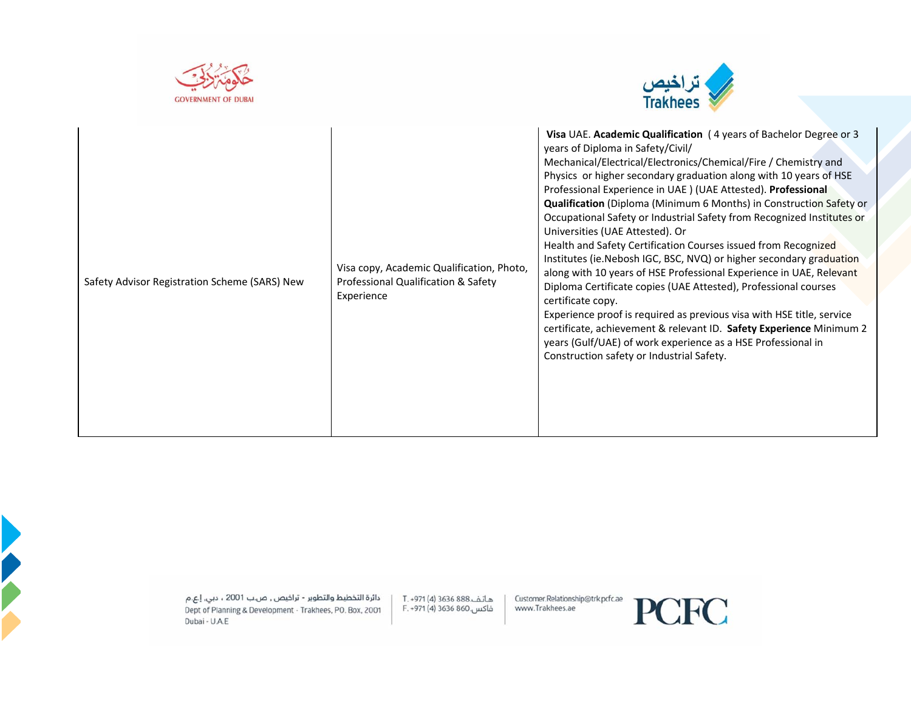





هاتف.888 (4) 1971 (4) T. +971<br>فاكس.860 3636 (4) F. +971

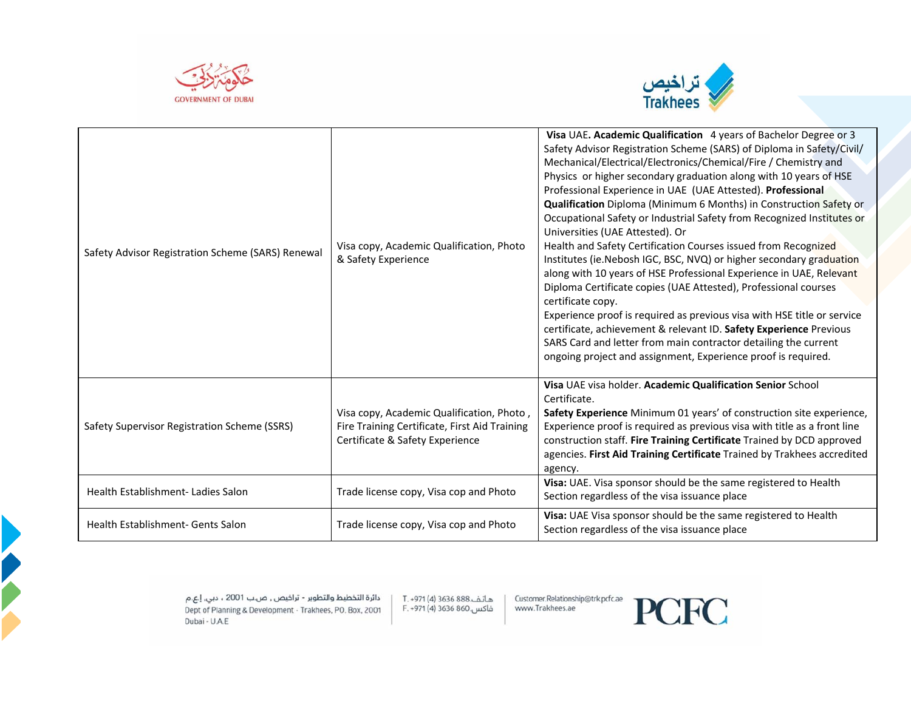



| Safety Advisor Registration Scheme (SARS) Renewal | Visa copy, Academic Qualification, Photo<br>& Safety Experience                                                               | Visa UAE. Academic Qualification 4 years of Bachelor Degree or 3<br>Safety Advisor Registration Scheme (SARS) of Diploma in Safety/Civil/<br>Mechanical/Electrical/Electronics/Chemical/Fire / Chemistry and<br>Physics or higher secondary graduation along with 10 years of HSE<br>Professional Experience in UAE (UAE Attested). Professional<br>Qualification Diploma (Minimum 6 Months) in Construction Safety or<br>Occupational Safety or Industrial Safety from Recognized Institutes or<br>Universities (UAE Attested). Or<br>Health and Safety Certification Courses issued from Recognized<br>Institutes (ie. Nebosh IGC, BSC, NVQ) or higher secondary graduation<br>along with 10 years of HSE Professional Experience in UAE, Relevant<br>Diploma Certificate copies (UAE Attested), Professional courses<br>certificate copy.<br>Experience proof is required as previous visa with HSE title or service<br>certificate, achievement & relevant ID. Safety Experience Previous<br>SARS Card and letter from main contractor detailing the current<br>ongoing project and assignment, Experience proof is required. |
|---------------------------------------------------|-------------------------------------------------------------------------------------------------------------------------------|-----------------------------------------------------------------------------------------------------------------------------------------------------------------------------------------------------------------------------------------------------------------------------------------------------------------------------------------------------------------------------------------------------------------------------------------------------------------------------------------------------------------------------------------------------------------------------------------------------------------------------------------------------------------------------------------------------------------------------------------------------------------------------------------------------------------------------------------------------------------------------------------------------------------------------------------------------------------------------------------------------------------------------------------------------------------------------------------------------------------------------------|
| Safety Supervisor Registration Scheme (SSRS)      | Visa copy, Academic Qualification, Photo,<br>Fire Training Certificate, First Aid Training<br>Certificate & Safety Experience | Visa UAE visa holder. Academic Qualification Senior School<br>Certificate.<br>Safety Experience Minimum 01 years' of construction site experience,<br>Experience proof is required as previous visa with title as a front line<br>construction staff. Fire Training Certificate Trained by DCD approved<br>agencies. First Aid Training Certificate Trained by Trakhees accredited<br>agency.                                                                                                                                                                                                                                                                                                                                                                                                                                                                                                                                                                                                                                                                                                                                     |
| Health Establishment-Ladies Salon                 | Trade license copy, Visa cop and Photo                                                                                        | Visa: UAE. Visa sponsor should be the same registered to Health<br>Section regardless of the visa issuance place                                                                                                                                                                                                                                                                                                                                                                                                                                                                                                                                                                                                                                                                                                                                                                                                                                                                                                                                                                                                                  |
| Health Establishment- Gents Salon                 | Trade license copy, Visa cop and Photo                                                                                        | Visa: UAE Visa sponsor should be the same registered to Health<br>Section regardless of the visa issuance place                                                                                                                                                                                                                                                                                                                                                                                                                                                                                                                                                                                                                                                                                                                                                                                                                                                                                                                                                                                                                   |

هاتف.888 3636 (4) T. +971<br>فاكس.860 3636 (4) F. +971

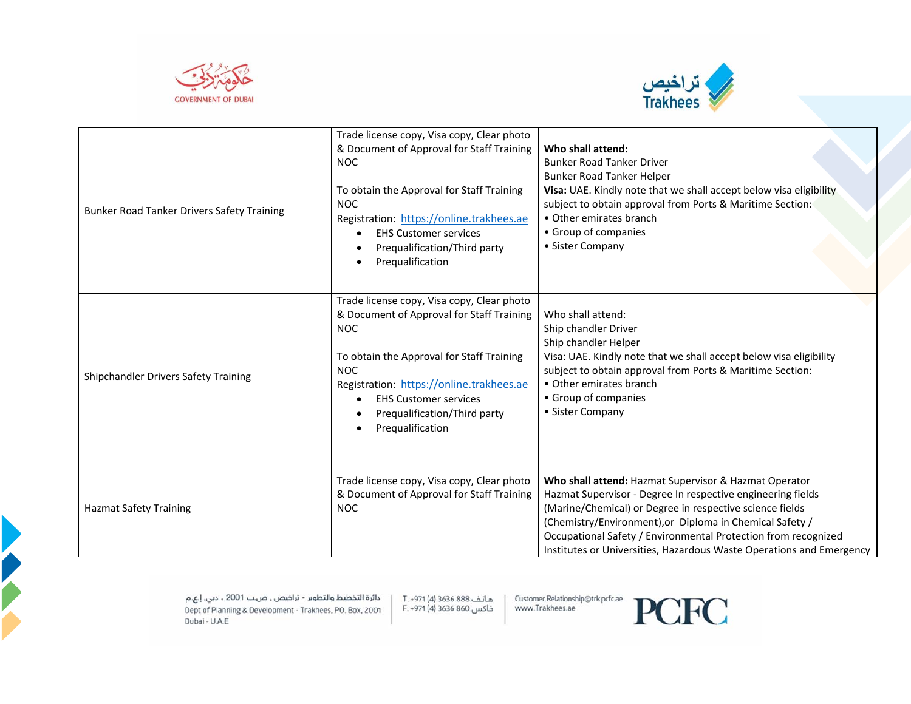



| Bunker Road Tanker Drivers Safety Training | Trade license copy, Visa copy, Clear photo<br>& Document of Approval for Staff Training<br><b>NOC</b><br>To obtain the Approval for Staff Training<br><b>NOC</b><br>Registration: https://online.trakhees.ae<br><b>EHS Customer services</b><br>Prequalification/Third party<br>Prequalification | Who shall attend:<br><b>Bunker Road Tanker Driver</b><br>Bunker Road Tanker Helper<br>Visa: UAE. Kindly note that we shall accept below visa eligibility<br>subject to obtain approval from Ports & Maritime Section:<br>• Other emirates branch<br>• Group of companies<br>• Sister Company                                                                                           |
|--------------------------------------------|--------------------------------------------------------------------------------------------------------------------------------------------------------------------------------------------------------------------------------------------------------------------------------------------------|----------------------------------------------------------------------------------------------------------------------------------------------------------------------------------------------------------------------------------------------------------------------------------------------------------------------------------------------------------------------------------------|
| Shipchandler Drivers Safety Training       | Trade license copy, Visa copy, Clear photo<br>& Document of Approval for Staff Training<br><b>NOC</b><br>To obtain the Approval for Staff Training<br><b>NOC</b><br>Registration: https://online.trakhees.ae<br><b>EHS Customer services</b><br>Prequalification/Third party<br>Prequalification | Who shall attend:<br>Ship chandler Driver<br>Ship chandler Helper<br>Visa: UAE. Kindly note that we shall accept below visa eligibility<br>subject to obtain approval from Ports & Maritime Section:<br>• Other emirates branch<br>• Group of companies<br>• Sister Company                                                                                                            |
| <b>Hazmat Safety Training</b>              | Trade license copy, Visa copy, Clear photo<br>& Document of Approval for Staff Training<br><b>NOC</b>                                                                                                                                                                                            | Who shall attend: Hazmat Supervisor & Hazmat Operator<br>Hazmat Supervisor - Degree In respective engineering fields<br>(Marine/Chemical) or Degree in respective science fields<br>(Chemistry/Environment), or Diploma in Chemical Safety /<br>Occupational Safety / Environmental Protection from recognized<br>Institutes or Universities, Hazardous Waste Operations and Emergency |

هاتف.888 3636 (4) T. +971<br>فاكس.860 3636 (4) F. +971

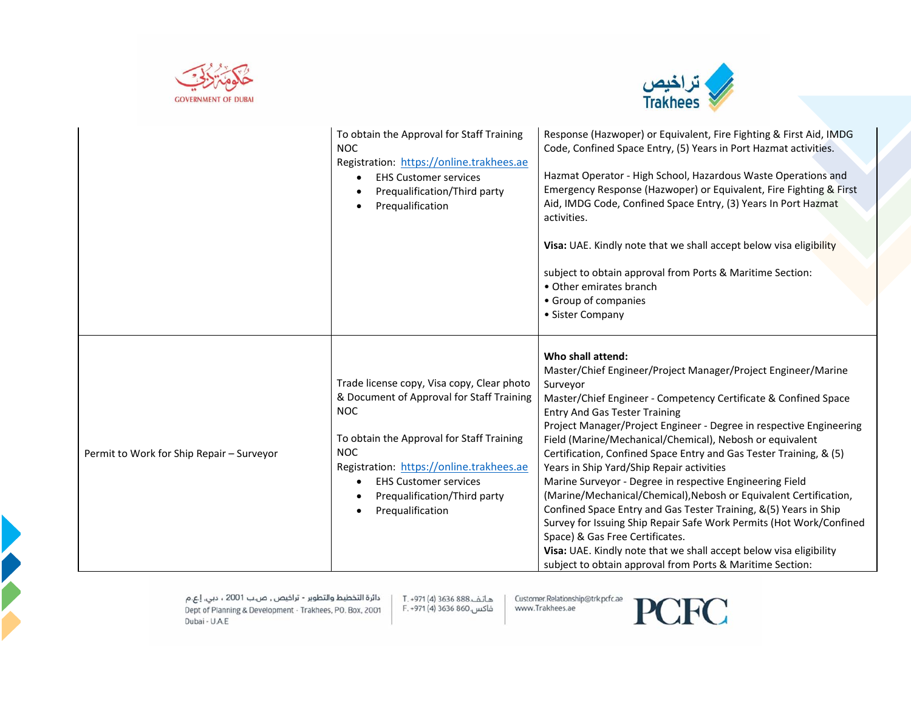



|                                           | To obtain the Approval for Staff Training<br><b>NOC</b><br>Registration: https://online.trakhees.ae<br><b>EHS Customer services</b><br>Prequalification/Third party<br>Prequalification                                                                                                               | Response (Hazwoper) or Equivalent, Fire Fighting & First Aid, IMDG<br>Code, Confined Space Entry, (5) Years in Port Hazmat activities.<br>Hazmat Operator - High School, Hazardous Waste Operations and<br>Emergency Response (Hazwoper) or Equivalent, Fire Fighting & First<br>Aid, IMDG Code, Confined Space Entry, (3) Years In Port Hazmat<br>activities.<br>Visa: UAE. Kindly note that we shall accept below visa eligibility<br>subject to obtain approval from Ports & Maritime Section:<br>• Other emirates branch<br>• Group of companies<br>• Sister Company                                                                                                                                                                                                                                                                                                                                          |
|-------------------------------------------|-------------------------------------------------------------------------------------------------------------------------------------------------------------------------------------------------------------------------------------------------------------------------------------------------------|-------------------------------------------------------------------------------------------------------------------------------------------------------------------------------------------------------------------------------------------------------------------------------------------------------------------------------------------------------------------------------------------------------------------------------------------------------------------------------------------------------------------------------------------------------------------------------------------------------------------------------------------------------------------------------------------------------------------------------------------------------------------------------------------------------------------------------------------------------------------------------------------------------------------|
| Permit to Work for Ship Repair - Surveyor | Trade license copy, Visa copy, Clear photo<br>& Document of Approval for Staff Training<br><b>NOC</b><br>To obtain the Approval for Staff Training<br><b>NOC</b><br>Registration: https://online.trakhees.ae<br><b>EHS Customer services</b><br>٠<br>Prequalification/Third party<br>Prequalification | Who shall attend:<br>Master/Chief Engineer/Project Manager/Project Engineer/Marine<br>Surveyor<br>Master/Chief Engineer - Competency Certificate & Confined Space<br><b>Entry And Gas Tester Training</b><br>Project Manager/Project Engineer - Degree in respective Engineering<br>Field (Marine/Mechanical/Chemical), Nebosh or equivalent<br>Certification, Confined Space Entry and Gas Tester Training, & (5)<br>Years in Ship Yard/Ship Repair activities<br>Marine Surveyor - Degree in respective Engineering Field<br>(Marine/Mechanical/Chemical), Nebosh or Equivalent Certification,<br>Confined Space Entry and Gas Tester Training, &(5) Years in Ship<br>Survey for Issuing Ship Repair Safe Work Permits (Hot Work/Confined<br>Space) & Gas Free Certificates.<br>Visa: UAE. Kindly note that we shall accept below visa eligibility<br>subject to obtain approval from Ports & Maritime Section: |

هاتف.888 3636 (4) T. +971 فاكس.860 3636 (4) F. +971

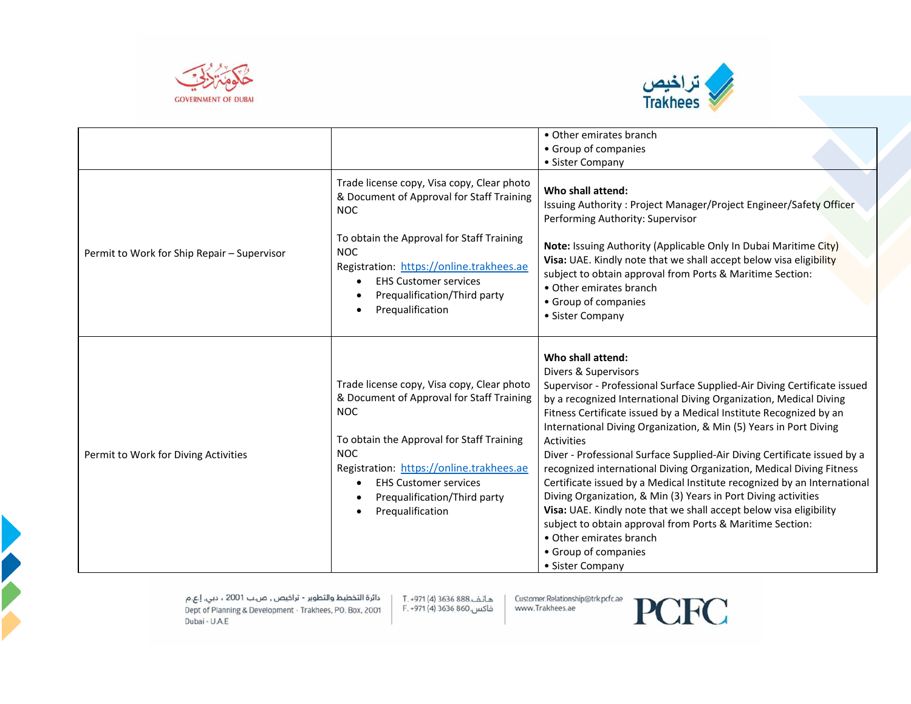



|                                             |                                                                                                                                                                                                                                                                                                  | • Other emirates branch                                                                                                                                                                                                                                                                                                                                                                                                                                                                                                                                                                                                                                                                                                                                                                                                                                                |
|---------------------------------------------|--------------------------------------------------------------------------------------------------------------------------------------------------------------------------------------------------------------------------------------------------------------------------------------------------|------------------------------------------------------------------------------------------------------------------------------------------------------------------------------------------------------------------------------------------------------------------------------------------------------------------------------------------------------------------------------------------------------------------------------------------------------------------------------------------------------------------------------------------------------------------------------------------------------------------------------------------------------------------------------------------------------------------------------------------------------------------------------------------------------------------------------------------------------------------------|
|                                             |                                                                                                                                                                                                                                                                                                  | • Group of companies                                                                                                                                                                                                                                                                                                                                                                                                                                                                                                                                                                                                                                                                                                                                                                                                                                                   |
|                                             |                                                                                                                                                                                                                                                                                                  | • Sister Company                                                                                                                                                                                                                                                                                                                                                                                                                                                                                                                                                                                                                                                                                                                                                                                                                                                       |
|                                             | Trade license copy, Visa copy, Clear photo<br>& Document of Approval for Staff Training<br><b>NOC</b>                                                                                                                                                                                            | Who shall attend:<br>Issuing Authority: Project Manager/Project Engineer/Safety Officer<br>Performing Authority: Supervisor                                                                                                                                                                                                                                                                                                                                                                                                                                                                                                                                                                                                                                                                                                                                            |
| Permit to Work for Ship Repair - Supervisor | To obtain the Approval for Staff Training<br><b>NOC</b><br>Registration: https://online.trakhees.ae<br><b>EHS Customer services</b><br>Prequalification/Third party<br>Prequalification                                                                                                          | Note: Issuing Authority (Applicable Only In Dubai Maritime City)<br>Visa: UAE. Kindly note that we shall accept below visa eligibility<br>subject to obtain approval from Ports & Maritime Section:<br>• Other emirates branch<br>• Group of companies<br>• Sister Company                                                                                                                                                                                                                                                                                                                                                                                                                                                                                                                                                                                             |
| Permit to Work for Diving Activities        | Trade license copy, Visa copy, Clear photo<br>& Document of Approval for Staff Training<br><b>NOC</b><br>To obtain the Approval for Staff Training<br><b>NOC</b><br>Registration: https://online.trakhees.ae<br><b>EHS Customer services</b><br>Prequalification/Third party<br>Prequalification | Who shall attend:<br>Divers & Supervisors<br>Supervisor - Professional Surface Supplied-Air Diving Certificate issued<br>by a recognized International Diving Organization, Medical Diving<br>Fitness Certificate issued by a Medical Institute Recognized by an<br>International Diving Organization, & Min (5) Years in Port Diving<br><b>Activities</b><br>Diver - Professional Surface Supplied-Air Diving Certificate issued by a<br>recognized international Diving Organization, Medical Diving Fitness<br>Certificate issued by a Medical Institute recognized by an International<br>Diving Organization, & Min (3) Years in Port Diving activities<br>Visa: UAE. Kindly note that we shall accept below visa eligibility<br>subject to obtain approval from Ports & Maritime Section:<br>• Other emirates branch<br>• Group of companies<br>• Sister Company |

هاتف.888 3636 (4) T. +971 فاكس.860 3636 (4) F. +971